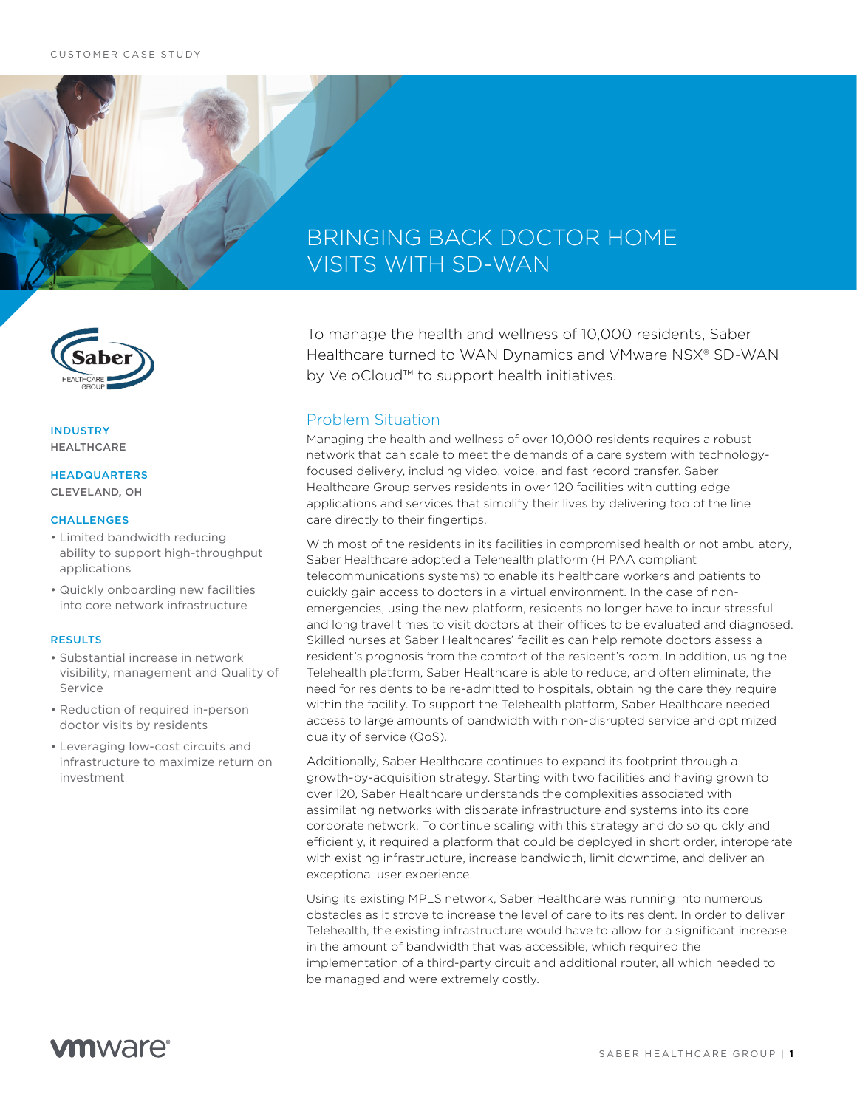

INDUSTRY HEALTHCARE

### HEADQUARTERS CLEVELAND, OH

#### **CHALLENGES**

- Limited bandwidth reducing ability to support high-throughput applications
- Quickly onboarding new facilities into core network infrastructure

#### RESULTS

- Substantial increase in network visibility, management and Quality of Service
- Reduction of required in-person doctor visits by residents
- Leveraging low-cost circuits and infrastructure to maximize return on investment

# BRINGING BACK DOCTOR HOME VISITS WITH SD-WAN

To manage the health and wellness of 10,000 residents, Saber Healthcare turned to WAN Dynamics and VMware NSX® SD-WAN by VeloCloud™ to support health initiatives.

### Problem Situation

Managing the health and wellness of over 10,000 residents requires a robust network that can scale to meet the demands of a care system with technologyfocused delivery, including video, voice, and fast record transfer. Saber Healthcare Group serves residents in over 120 facilities with cutting edge applications and services that simplify their lives by delivering top of the line care directly to their fingertips.

With most of the residents in its facilities in compromised health or not ambulatory, Saber Healthcare adopted a Telehealth platform (HIPAA compliant telecommunications systems) to enable its healthcare workers and patients to quickly gain access to doctors in a virtual environment. In the case of nonemergencies, using the new platform, residents no longer have to incur stressful and long travel times to visit doctors at their offices to be evaluated and diagnosed. Skilled nurses at Saber Healthcares' facilities can help remote doctors assess a resident's prognosis from the comfort of the resident's room. In addition, using the Telehealth platform, Saber Healthcare is able to reduce, and often eliminate, the need for residents to be re-admitted to hospitals, obtaining the care they require within the facility. To support the Telehealth platform, Saber Healthcare needed access to large amounts of bandwidth with non-disrupted service and optimized quality of service (QoS).

Additionally, Saber Healthcare continues to expand its footprint through a growth-by-acquisition strategy. Starting with two facilities and having grown to over 120, Saber Healthcare understands the complexities associated with assimilating networks with disparate infrastructure and systems into its core corporate network. To continue scaling with this strategy and do so quickly and efficiently, it required a platform that could be deployed in short order, interoperate with existing infrastructure, increase bandwidth, limit downtime, and deliver an exceptional user experience.

Using its existing MPLS network, Saber Healthcare was running into numerous obstacles as it strove to increase the level of care to its resident. In order to deliver Telehealth, the existing infrastructure would have to allow for a significant increase in the amount of bandwidth that was accessible, which required the implementation of a third-party circuit and additional router, all which needed to be managed and were extremely costly.

# **vm**ware<sup>®</sup>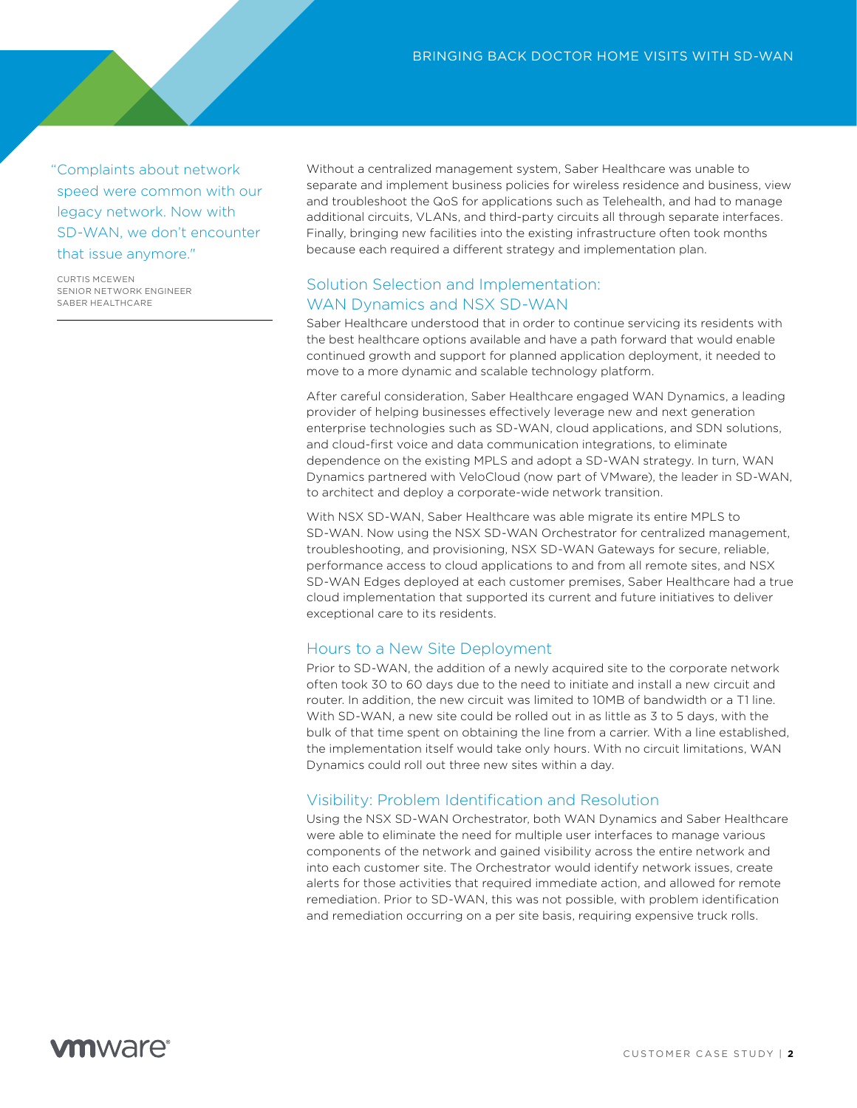"Complaints about network speed were common with our legacy network. Now with SD-WAN, we don't encounter that issue anymore."

CURTIS MCEWEN SENIOR NETWORK ENGINEER SABER HEALTHCARE

Without a centralized management system, Saber Healthcare was unable to separate and implement business policies for wireless residence and business, view and troubleshoot the QoS for applications such as Telehealth, and had to manage additional circuits, VLANs, and third-party circuits all through separate interfaces. Finally, bringing new facilities into the existing infrastructure often took months because each required a different strategy and implementation plan.

# Solution Selection and Implementation: WAN Dynamics and NSX SD-WAN

Saber Healthcare understood that in order to continue servicing its residents with the best healthcare options available and have a path forward that would enable continued growth and support for planned application deployment, it needed to move to a more dynamic and scalable technology platform.

After careful consideration, Saber Healthcare engaged WAN Dynamics, a leading provider of helping businesses effectively leverage new and next generation enterprise technologies such as SD-WAN, cloud applications, and SDN solutions, and cloud-first voice and data communication integrations, to eliminate dependence on the existing MPLS and adopt a SD-WAN strategy. In turn, WAN Dynamics partnered with VeloCloud (now part of VMware), the leader in SD-WAN, to architect and deploy a corporate-wide network transition.

With NSX SD-WAN, Saber Healthcare was able migrate its entire MPLS to SD-WAN. Now using the NSX SD-WAN Orchestrator for centralized management, troubleshooting, and provisioning, NSX SD-WAN Gateways for secure, reliable, performance access to cloud applications to and from all remote sites, and NSX SD-WAN Edges deployed at each customer premises, Saber Healthcare had a true cloud implementation that supported its current and future initiatives to deliver exceptional care to its residents.

### Hours to a New Site Deployment

Prior to SD-WAN, the addition of a newly acquired site to the corporate network often took 30 to 60 days due to the need to initiate and install a new circuit and router. In addition, the new circuit was limited to 10MB of bandwidth or a T1 line. With SD-WAN, a new site could be rolled out in as little as 3 to 5 days, with the bulk of that time spent on obtaining the line from a carrier. With a line established, the implementation itself would take only hours. With no circuit limitations, WAN Dynamics could roll out three new sites within a day.

## Visibility: Problem Identification and Resolution

Using the NSX SD-WAN Orchestrator, both WAN Dynamics and Saber Healthcare were able to eliminate the need for multiple user interfaces to manage various components of the network and gained visibility across the entire network and into each customer site. The Orchestrator would identify network issues, create alerts for those activities that required immediate action, and allowed for remote remediation. Prior to SD-WAN, this was not possible, with problem identification and remediation occurring on a per site basis, requiring expensive truck rolls.